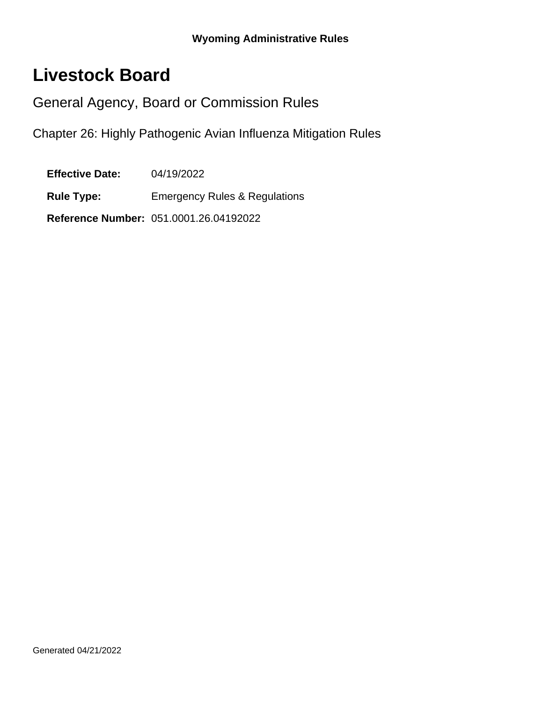# **Livestock Board**

General Agency, Board or Commission Rules

Chapter 26: Highly Pathogenic Avian Influenza Mitigation Rules

**Effective Date:** 04/19/2022

**Rule Type:** Emergency Rules & Regulations

**Reference Number:** 051.0001.26.04192022